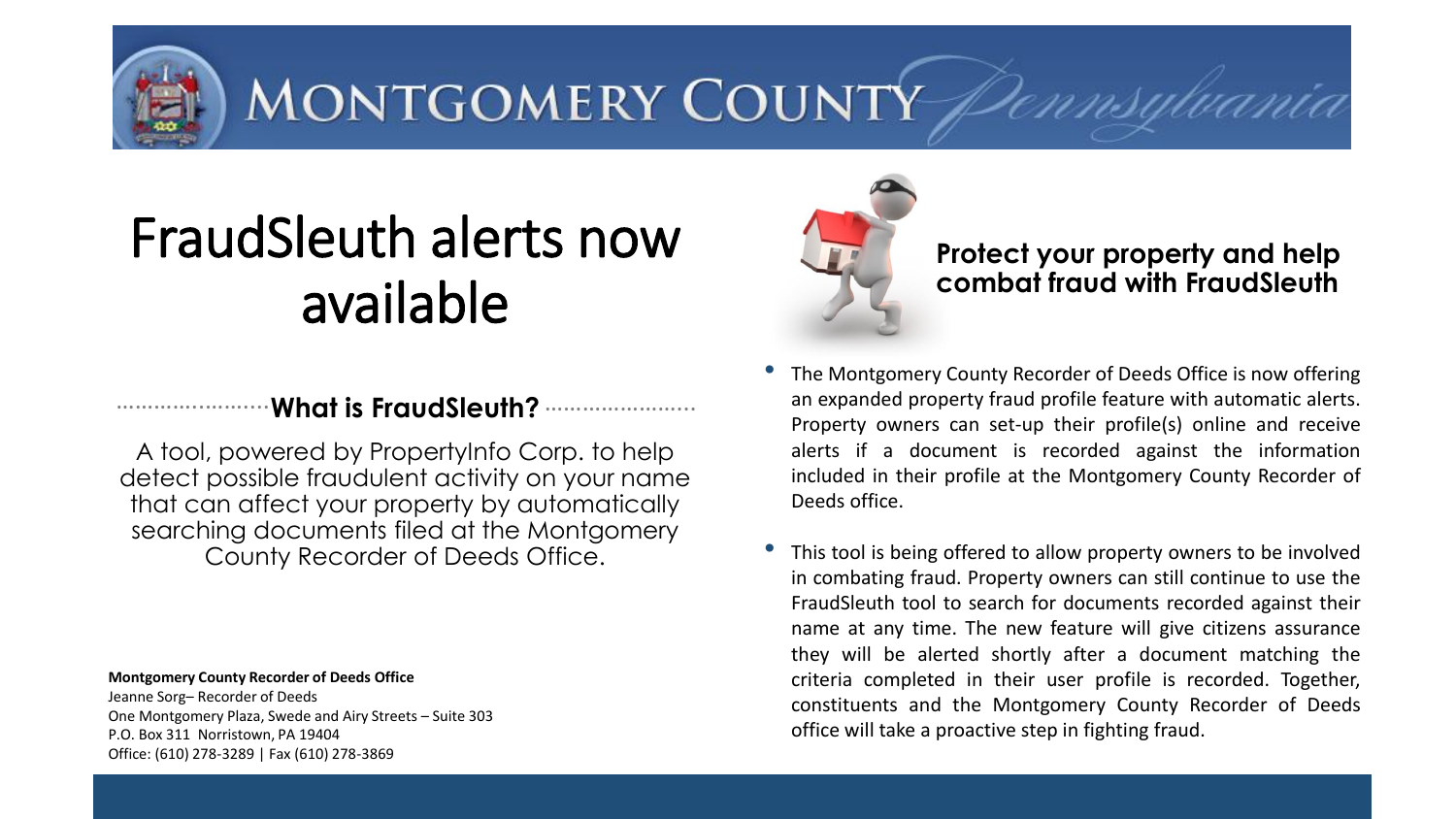MONTGOMERY COUNTY

# FraudSleuth alerts now available

# **What is FraudSleuth?**  …………..…….... …………………...

A tool, powered by PropertyInfo Corp. to help detect possible fraudulent activity on your name that can affect your property by automatically searching documents filed at the Montgomery County Recorder of Deeds Office.

**Montgomery County Recorder of Deeds Office** Jeanne Sorg– Recorder of Deeds

One Montgomery Plaza, Swede and Airy Streets – Suite 303 P.O. Box 311 Norristown, PA 19404 Office: (610) 278-3289 | Fax (610) 278-3869



# **Protect your property and help combat fraud with FraudSleuth**

- The Montgomery County Recorder of Deeds Office is now offering an expanded property fraud profile feature with automatic alerts. Property owners can set-up their profile(s) online and receive alerts if a document is recorded against the information included in their profile at the Montgomery County Recorder of Deeds office.
- This tool is being offered to allow property owners to be involved in combating fraud. Property owners can still continue to use the FraudSleuth tool to search for documents recorded against their name at any time. The new feature will give citizens assurance they will be alerted shortly after a document matching the criteria completed in their user profile is recorded. Together, constituents and the Montgomery County Recorder of Deeds office will take a proactive step in fighting fraud.